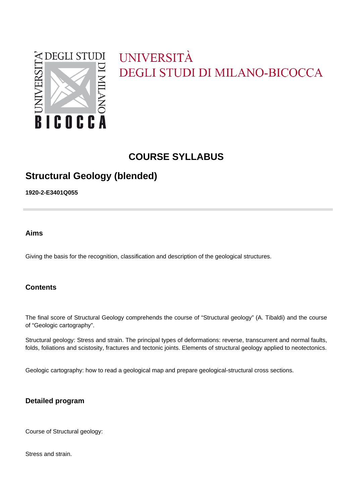

# UNIVERSITÀ DEGLI STUDI DI MILANO-BICOCCA

# **COURSE SYLLABUS**

# **Structural Geology (blended)**

**1920-2-E3401Q055**

**Aims**

Giving the basis for the recognition, classification and description of the geological structures.

## **Contents**

The final score of Structural Geology comprehends the course of "Structural geology" (A. Tibaldi) and the course of "Geologic cartography".

Structural geology: Stress and strain. The principal types of deformations: reverse, transcurrent and normal faults, folds, foliations and scistosity, fractures and tectonic joints. Elements of structural geology applied to neotectonics.

Geologic cartography: how to read a geological map and prepare geological-structural cross sections.

## **Detailed program**

Course of Structural geology:

Stress and strain.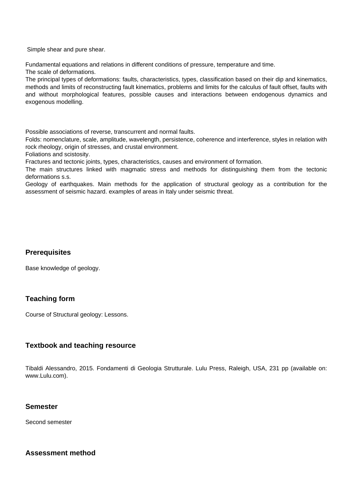Simple shear and pure shear.

Fundamental equations and relations in different conditions of pressure, temperature and time.

The scale of deformations.

The principal types of deformations: faults, characteristics, types, classification based on their dip and kinematics, methods and limits of reconstructing fault kinematics, problems and limits for the calculus of fault offset, faults with and without morphological features, possible causes and interactions between endogenous dynamics and exogenous modelling.

Possible associations of reverse, transcurrent and normal faults.

Folds: nomenclature, scale, amplitude, wavelength, persistence, coherence and interference, styles in relation with rock rheology, origin of stresses, and crustal environment.

Foliations and scistosity.

Fractures and tectonic joints, types, characteristics, causes and environment of formation.

The main structures linked with magmatic stress and methods for distinguishing them from the tectonic deformations s.s.

Geology of earthquakes. Main methods for the application of structural geology as a contribution for the assessment of seismic hazard. examples of areas in Italy under seismic threat.

#### **Prerequisites**

Base knowledge of geology.

## **Teaching form**

Course of Structural geology: Lessons.

#### **Textbook and teaching resource**

Tibaldi Alessandro, 2015. Fondamenti di Geologia Strutturale. Lulu Press, Raleigh, USA, 231 pp (available on: www.Lulu.com).

#### **Semester**

Second semester

#### **Assessment method**